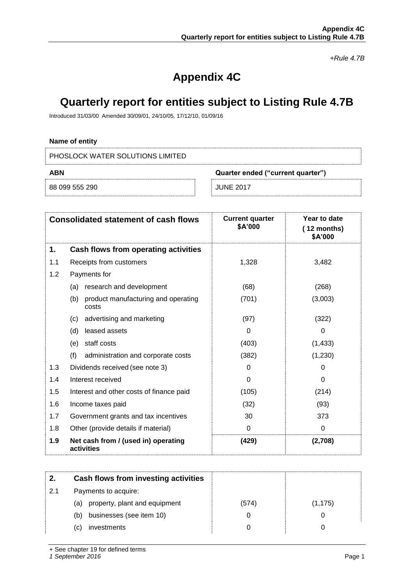*+Rule 4.7B*

# **Appendix 4C**

## **Quarterly report for entities subject to Listing Rule 4.7B**

Introduced 31/03/00 Amended 30/09/01, 24/10/05, 17/12/10, 01/09/16

## **Name of entity**

PHOSLOCK WATER SOLUTIONS LIMITED

| ABN            | Quarter ended ("current quarter") |  |
|----------------|-----------------------------------|--|
| 88 099 555 290 | JUNE 2017                         |  |

|     | <b>Consolidated statement of cash flows</b>         | <b>Current quarter</b><br>\$A'000 | Year to date<br>$(12$ months)<br>\$A'000 |
|-----|-----------------------------------------------------|-----------------------------------|------------------------------------------|
| 1.  | Cash flows from operating activities                |                                   |                                          |
| 1.1 | Receipts from customers                             | 1,328                             | 3,482                                    |
| 1.2 | Payments for                                        |                                   |                                          |
|     | research and development<br>(a)                     | (68)                              | (268)                                    |
|     | product manufacturing and operating<br>(b)<br>costs | (701)                             | (3,003)                                  |
|     | advertising and marketing<br>(c)                    | (97)                              | (322)                                    |
|     | (d)<br>leased assets                                | 0                                 | 0                                        |
|     | staff costs<br>(e)                                  | (403)                             | (1, 433)                                 |
|     | (f)<br>administration and corporate costs           | (382)                             | (1, 230)                                 |
| 1.3 | Dividends received (see note 3)                     | 0                                 | 0                                        |
| 1.4 | Interest received                                   | $\Omega$                          | 0                                        |
| 1.5 | Interest and other costs of finance paid            | (105)                             | (214)                                    |
| 1.6 | Income taxes paid                                   | (32)                              | (93)                                     |
| 1.7 | Government grants and tax incentives                | 30                                | 373                                      |
| 1.8 | Other (provide details if material)                 | 0                                 | $\Omega$                                 |
| 1.9 | Net cash from / (used in) operating<br>activities   | (429)                             | (2,708)                                  |

|     | Cash flows from investing activities |       |          |
|-----|--------------------------------------|-------|----------|
| 2.1 | Payments to acquire:                 |       |          |
|     | (a) property, plant and equipment    | (574) | (1, 175) |
|     | businesses (see item 10)<br>(b)      |       |          |
|     | investments<br>(C)                   |       |          |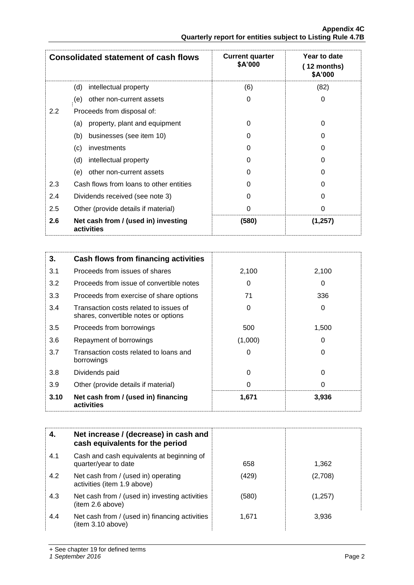|     | <b>Consolidated statement of cash flows</b>       | <b>Current quarter</b><br>\$A'000 | Year to date<br>(12 months)<br>\$A'000 |
|-----|---------------------------------------------------|-----------------------------------|----------------------------------------|
|     | intellectual property<br>(d)                      | (6)                               | (82)                                   |
|     | other non-current assets<br>(e)                   | 0                                 | 0                                      |
| 2.2 | Proceeds from disposal of:                        |                                   |                                        |
|     | property, plant and equipment<br>(a)              | 0                                 | 0                                      |
|     | businesses (see item 10)<br>(b)                   | 0                                 | O                                      |
|     | (c)<br>investments                                | 0                                 | O                                      |
|     | (d)<br>intellectual property                      | 0                                 | O                                      |
|     | other non-current assets<br>(e)                   | 0                                 | 0                                      |
| 2.3 | Cash flows from loans to other entities           | 0                                 | U                                      |
| 2.4 | Dividends received (see note 3)                   | 0                                 | 0                                      |
| 2.5 | Other (provide details if material)               | 0                                 | O                                      |
| 2.6 | Net cash from / (used in) investing<br>activities | (580)                             | (1, 257)                               |

| 3.   | Cash flows from financing activities                                           |         |       |
|------|--------------------------------------------------------------------------------|---------|-------|
| 3.1  | Proceeds from issues of shares                                                 | 2,100   | 2,100 |
| 3.2  | Proceeds from issue of convertible notes                                       | 0       | 0     |
| 3.3  | Proceeds from exercise of share options                                        | 71      | 336   |
| 3.4  | Transaction costs related to issues of<br>shares, convertible notes or options | 0       | 0     |
| 3.5  | Proceeds from borrowings                                                       | 500     | 1,500 |
| 3.6  | Repayment of borrowings                                                        | (1,000) | 0     |
| 3.7  | Transaction costs related to loans and<br>borrowings                           | 0       | 0     |
| 3.8  | Dividends paid                                                                 | 0       | 0     |
| 3.9  | Other (provide details if material)                                            | 0       | 0     |
| 3.10 | Net cash from / (used in) financing<br>activities                              | 1,671   | 3,936 |

|     | Net increase / (decrease) in cash and<br>cash equivalents for the period |       |         |
|-----|--------------------------------------------------------------------------|-------|---------|
| 4.1 | Cash and cash equivalents at beginning of<br>quarter/year to date        | 658   | 1.362   |
| 4.2 | Net cash from / (used in) operating<br>activities (item 1.9 above)       | (429) | (2,708) |
| 4.3 | Net cash from / (used in) investing activities<br>(item 2.6 above)       | (580) | (1,257) |
| 4.4 | Net cash from / (used in) financing activities<br>(item 3.10 above)      | 1,671 | 3,936   |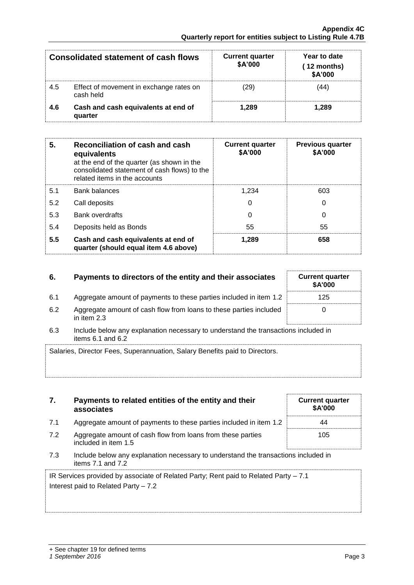**associates**

included in item 1.5

|     | <b>Consolidated statement of cash flows</b>          | <b>Current quarter</b><br><b>\$A'000</b> | Year to date<br>(12 months)<br>\$A'000 |
|-----|------------------------------------------------------|------------------------------------------|----------------------------------------|
| 4.5 | Effect of movement in exchange rates on<br>cash held | $^{\prime}29)$                           | 44                                     |
| 4.6 | Cash and cash equivalents at end of<br>quarter       | 1.289                                    | 1.289                                  |

| 5.  | Reconciliation of cash and cash<br>equivalents<br>at the end of the quarter (as shown in the<br>consolidated statement of cash flows) to the<br>related items in the accounts | <b>Current quarter</b><br>\$A'000 | <b>Previous quarter</b><br>\$A'000 |
|-----|-------------------------------------------------------------------------------------------------------------------------------------------------------------------------------|-----------------------------------|------------------------------------|
| 5.1 | <b>Bank balances</b>                                                                                                                                                          | 1.234                             | 603                                |
| 5.2 | Call deposits                                                                                                                                                                 | 0                                 | 0                                  |
| 5.3 | <b>Bank overdrafts</b>                                                                                                                                                        | 0                                 | 0                                  |
| 5.4 | Deposits held as Bonds                                                                                                                                                        | 55                                | 55                                 |
| 5.5 | Cash and cash equivalents at end of<br>quarter (should equal item 4.6 above)                                                                                                  | 1.289                             | 658                                |

## **6.** Payments to directors of the entity and their associates Current quarter

- 6.1 Aggregate amount of payments to these parties included in item 1.2 125
- 6.2 Aggregate amount of cash flow from loans to these parties included in item 2.3
- 6.3 Include below any explanation necessary to understand the transactions included in items 6.1 and 6.2

| Salaries, Director Fees, Superannuation, Salary Benefits paid to Directors. |  |
|-----------------------------------------------------------------------------|--|
|                                                                             |  |

|     | associates                                                         | ט רוש |
|-----|--------------------------------------------------------------------|-------|
| 7.1 | Aggregate amount of payments to these parties included in item 1.2 | 44    |
| 7.2 | Aggregate amount of cash flow from loans from these parties        | 10!   |

**7. Payments to related entities of the entity and their** 

7.3 Include below any explanation necessary to understand the transactions included in items 7.1 and 7.2

IR Services provided by associate of Related Party; Rent paid to Related Party – 7.1 Interest paid to Related Party – 7.2

| <b>Current quarter</b><br>\$A'000 |  |
|-----------------------------------|--|
| 44                                |  |
| 105                               |  |

**\$A'000**

0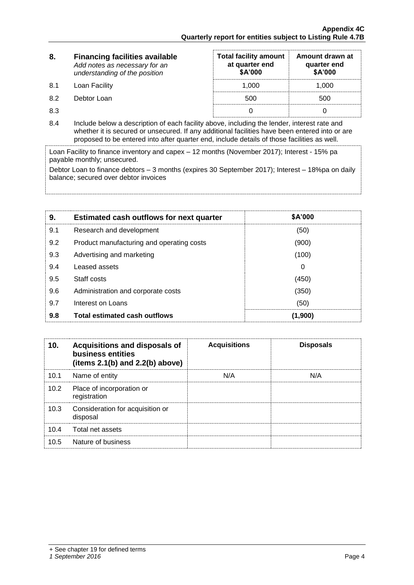| 8.  | <b>Financing facilities available</b><br>Add notes as necessary for an<br>understanding of the position | <b>Total facility amount</b><br>at quarter end<br>\$A'000 | Amount drawn at<br>quarter end<br>\$A'000 |
|-----|---------------------------------------------------------------------------------------------------------|-----------------------------------------------------------|-------------------------------------------|
| 8.1 | Loan Facility                                                                                           | 1.000                                                     | 1.000                                     |
| 8.2 | Debtor Loan                                                                                             | 500                                                       | 500                                       |
| 8.3 |                                                                                                         |                                                           |                                           |

8.4 Include below a description of each facility above, including the lender, interest rate and whether it is secured or unsecured. If any additional facilities have been entered into or are proposed to be entered into after quarter end, include details of those facilities as well.

Loan Facility to finance inventory and capex – 12 months (November 2017); Interest - 15% pa payable monthly; unsecured.

Debtor Loan to finance debtors – 3 months (expires 30 September 2017); Interest – 18%pa on daily balance; secured over debtor invoices

| 9.  | <b>Estimated cash outflows for next quarter</b> | <b>\$A'000</b> |
|-----|-------------------------------------------------|----------------|
| 9.1 | Research and development                        | (50)           |
| 9.2 | Product manufacturing and operating costs       | (900)          |
| 9.3 | Advertising and marketing                       | (100)          |
| 9.4 | Leased assets                                   | 0              |
| 9.5 | Staff costs                                     | (450)          |
| 9.6 | Administration and corporate costs              | (350)          |
| 9.7 | Interest on Loans                               | (50)           |
| 9.8 | Total estimated cash outflows                   | (1,900)        |

| 10.  | Acquisitions and disposals of<br>business entities<br>(items $2.1(b)$ and $2.2(b)$ above) | <b>Acquisitions</b> | <b>Disposals</b> |
|------|-------------------------------------------------------------------------------------------|---------------------|------------------|
| 10.1 | Name of entity                                                                            | N/A                 | N/A              |
| 10.2 | Place of incorporation or<br>registration                                                 |                     |                  |
| 10.3 | Consideration for acquisition or<br>disposal                                              |                     |                  |
| 10.4 | Total net assets                                                                          |                     |                  |
| 10.5 | Nature of business                                                                        |                     |                  |